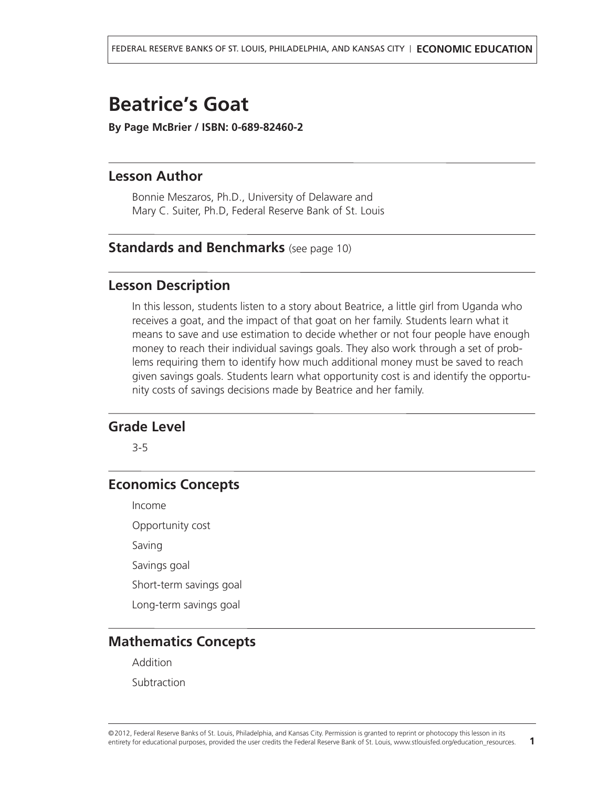# <span id="page-0-0"></span>**Beatrice's Goat**

**By Page McBrier / ISBN: 0-689-82460-2**

# **Lesson Author**

Bonnie Meszaros, Ph.D., University of Delaware and Mary C. Suiter, Ph.D, Federal Reserve Bank of St. Louis

# **Standards and Benchmarks** (see [page](#page-9-0) 10)

#### **Lesson Description**

In this lesson, students listen to <sup>a</sup> story about Beatrice, <sup>a</sup> little girl from Uganda who receives <sup>a</sup> goat, and the impact of that goat on her family. Students learn what it means to save and use estimation to decide whether or not four people have enough money to reach their individual savings goals. They also work through <sup>a</sup> set of problems requiring them to identify how much additional money must be saved to reach given savings goals. Students learn what opportunity cost is and identify the opportunity costs of savings decisions made by Beatrice and her family.

## **Grade Level**

3-5

# **Economics Concepts**

Income

Opportunity cost

Saving

Savings goal

Short-term savings goal

Long-term savings goal

# **Mathematics Concepts**

Addition

Subtraction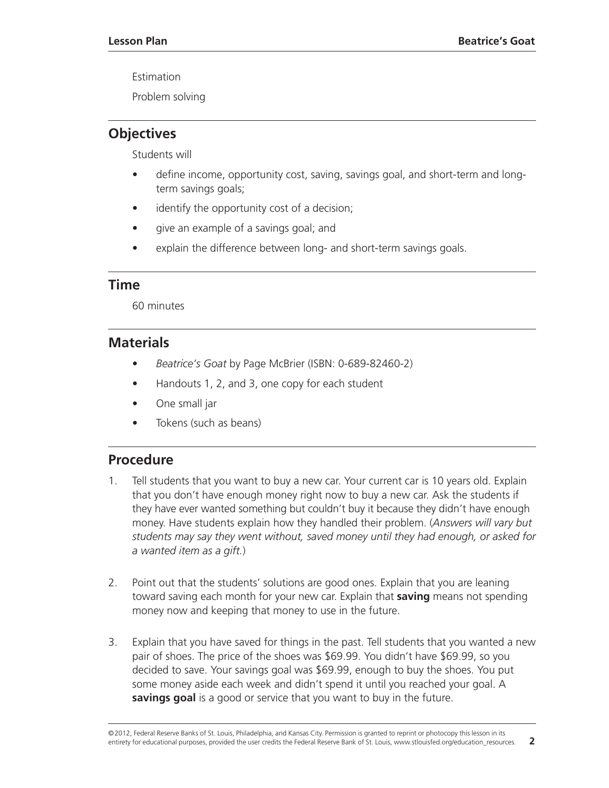Estimation

Problem solving

# **Objectives**

Students will

- define income, opportunity cost, saving, savings goal, and short-term and longterm savings goals;
- identify the opportunity cost of a decision;
- give an example of a savings goal; and
- explain the difference between long- and short-term savings goals.

## **Time**

60 minutes

# **Materials**

- *Beatrice's Goat* by Page McBrier (ISBN: 0-689-82460-2)
- Handouts 1, 2, and 3, one copy for each student
- One small jar
- Tokens (such as beans)

# **Procedure**

- 1. Tell students that you want to buy a new car. Your current car is 10 years old. Explain that you don't have enough money right now to buy a new car. Ask the students if they have ever wanted something but couldn't buy it because they didn't have enough money. Have students explain how they handled their problem. (*Answers will vary but students may say they went without, saved money until they had enough, or asked for a wanted item as a gift.*)
- 2. Point out that the students' solutions are good ones. Explain that you are leaning toward saving each month for your new car. Explain that **saving** means not spending money now and keeping that money to use in the future.
- 3. Explain that you have saved for things in the past. Tell students that you wanted a new pair of shoes. The price of the shoes was \$69.99. You didn't have \$69.99, so you decided to save. Your savings goal was \$69.99, enough to buy the shoes. You put some money aside each week and didn't spend it until you reached your goal. A **savings goal** is a good or service that you want to buy in the future.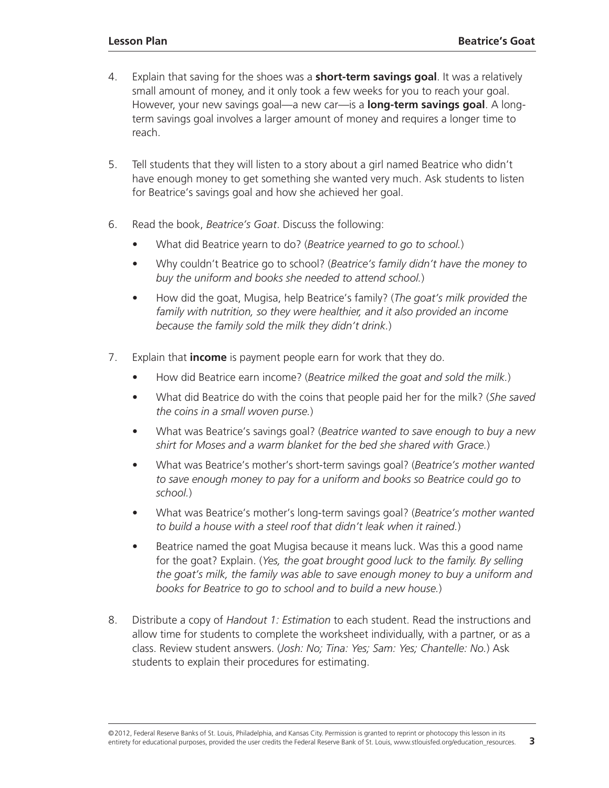- 4. Explain that saving for the shoes was a **short-term savings goal**. It was a relatively small amount of money, and it only took a few weeks for you to reach your goal. However, your new savings goal—a new car—is a **long-term savings goal**. A longterm savings goal involves a larger amount of money and requires a longer time to reach.
- 5. Tell students that they will listen to a story about a girl named Beatrice who didn't have enough money to get something she wanted very much. Ask students to listen for Beatrice's savings goal and how she achieved her goal.
- 6. Read the book, *Beatrice's Goat*. Discuss the following:
	- What did Beatrice yearn to do? (*Beatrice yearned to go to school.*)
	- Why couldn't Beatrice go to school? (*Beatrice's family didn't have the money to buy the uniform and books she needed to attend school.*)
	- How did the goat, Mugisa, help Beatrice's family? (*The goat's milk provided the family with nutrition, so they were healthier, and it also provided an income because the family sold the milk they didn't drink.*)
- 7. Explain that **income** is payment people earn for work that they do.
	- How did Beatrice earn income? (*Beatrice milked the goat and sold the milk.*)
	- What did Beatrice do with the coins that people paid her for the milk? (*She saved the coins in a small woven purse.*)
	- What was Beatrice's savings goal? (*Beatrice wanted to save enough to buy a new shirt for Moses and a warm blanket for the bed she shared with Grace.*)
	- What was Beatrice's mother's short-term savings goal? (*Beatrice's mother wanted to save enough money to pay for a uniform and books so Beatrice could go to school.*)
	- What was Beatrice's mother's long-term savings goal? (*Beatrice's mother wanted to build a house with a steel roof that didn't leak when it rained.*)
	- Beatrice named the goat Mugisa because it means luck. Was this a good name for the goat? Explain. (*Yes, the goat brought good luck to the family. By selling the goat's milk, the family was able to save enough money to buy a uniform and books for Beatrice to go to school and to build a new house.*)
- 8. Distribute a copy of *Handout 1: Estimation* to each student. Read the instructions and allow time for students to complete the worksheet individually, with a partner, or as a class. Review student answers. (*Josh: No; Tina: Yes; Sam: Yes; Chantelle: No.*) Ask students to explain their procedures for estimating.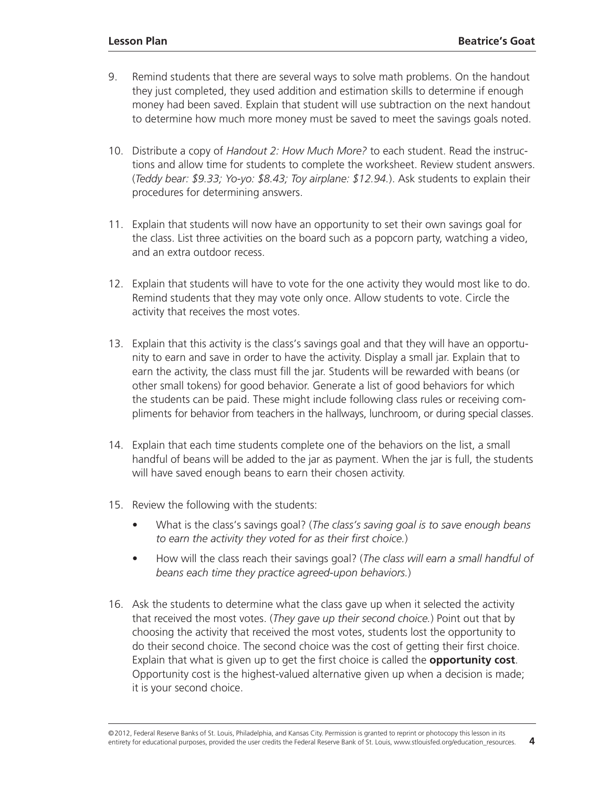- 9. Remind students that there are several ways to solve math problems. On the handout they just completed, they used addition and estimation skills to determine if enough money had been saved. Explain that student will use subtraction on the next handout to determine how much more money must be saved to meet the savings goals noted.
- 10. Distribute a copy of *Handout 2: How Much More?* to each student. Read the instructions and allow time for students to complete the worksheet. Review student answers. (*Teddy bear: \$9.33; Yo-yo: \$8.43; Toy airplane: \$12.94.*). Ask students to explain their procedures for determining answers.
- 11. Explain that students will now have an opportunity to set their own savings goal for the class. List three activities on the board such as a popcorn party, watching a video, and an extra outdoor recess.
- 12. Explain that students will have to vote for the one activity they would most like to do. Remind students that they may vote only once. Allow students to vote. Circle the activity that receives the most votes.
- 13. Explain that this activity is the class's savings goal and that they will have an opportunity to earn and save in order to have the activity. Display a small jar. Explain that to earn the activity, the class must fill the jar. Students will be rewarded with beans (or other small tokens) for good behavior. Generate a list of good behaviors for which the students can be paid. These might include following class rules or receiving compliments for behavior from teachers in the hallways, lunchroom, or during special classes.
- 14. Explain that each time students complete one of the behaviors on the list, a small handful of beans will be added to the jar as payment. When the jar is full, the students will have saved enough beans to earn their chosen activity.
- 15. Review the following with the students:
	- What is the class's savings goal? (*The class's saving goal is to save enough beans to earn the activity they voted for as their first choice.*)
	- How will the class reach their savings goal? (*The class will earn a small handful of beans each time they practice agreed-upon behaviors.*)
- 16. Ask the students to determine what the class gave up when it selected the activity that received the most votes. (*They gave up their second choice.*) Point out that by choosing the activity that received the most votes, students lost the opportunity to do their second choice. The second choice was the cost of getting their first choice. Explain that what is given up to get the first choice is called the **opportunity cost**. Opportunity cost is the highest-valued alternative given up when a decision is made; it is your second choice.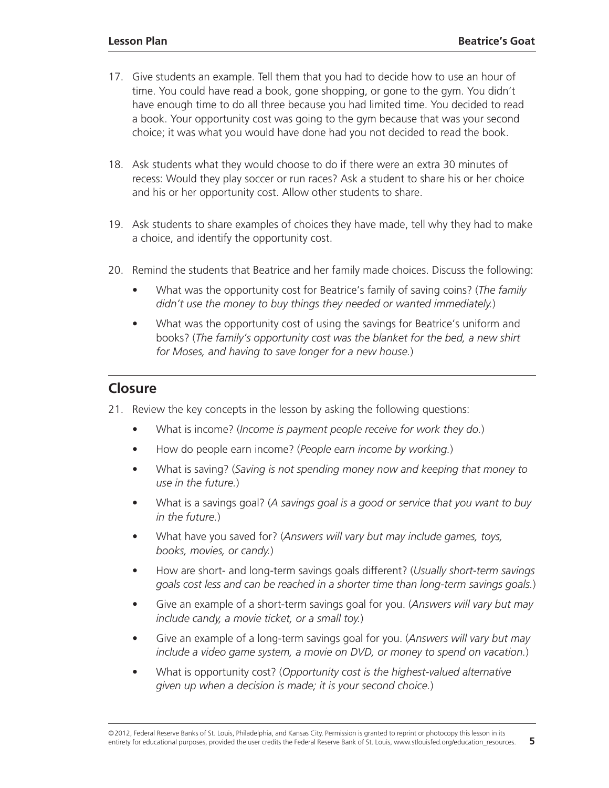- 17. Give students an example. Tell them that you had to decide how to use an hour of time. You could have read a book, gone shopping, or gone to the gym. You didn't have enough time to do all three because you had limited time. You decided to read a book. Your opportunity cost was going to the gym because that was your second choice; it was what you would have done had you not decided to read the book.
- 18. Ask students what they would choose to do if there were an extra 30 minutes of recess: Would they play soccer or run races? Ask a student to share his or her choice and his or her opportunity cost. Allow other students to share.
- 19. Ask students to share examples of choices they have made, tell why they had to make a choice, and identify the opportunity cost.
- 20. Remind the students that Beatrice and her family made choices. Discuss the following:
	- What was the opportunity cost for Beatrice's family of saving coins? (*The family didn't use the money to buy things they needed or wanted immediately.*)
	- What was the opportunity cost of using the savings for Beatrice's uniform and books? (*The family's opportunity cost was the blanket for the bed, a new shirt for Moses, and having to save longer for a new house.*)

# **Closure**

- 21. Review the key concepts in the lesson by asking the following questions:
	- What is income? (*Income is payment people receive for work they do.*)
	- How do people earn income? (*People earn income by working.*)
	- What is saving? (*Saving is not spending money now and keeping that money to use in the future.*)
	- What is a savings goal? (*A savings goal is a good or service that you want to buy in the future.*)
	- What have you saved for? (*Answers will vary but may include games, toys, books, movies, or candy.*)
	- How are short- and long-term savings goals different? (*Usually short-term savings goals cost less and can be reached in a shorter time than long-term savings goals.*)
	- Give an example of a short-term savings goal for you. (*Answers will vary but may include candy, a movie ticket, or a small toy.*)
	- Give an example of a long-term savings goal for you. (*Answers will vary but may include a video game system, a movie on DVD, or money to spend on vacation.*)
	- What is opportunity cost? (*Opportunity cost is the highest-valued alternative given up when a decision is made; it is your second choice.*)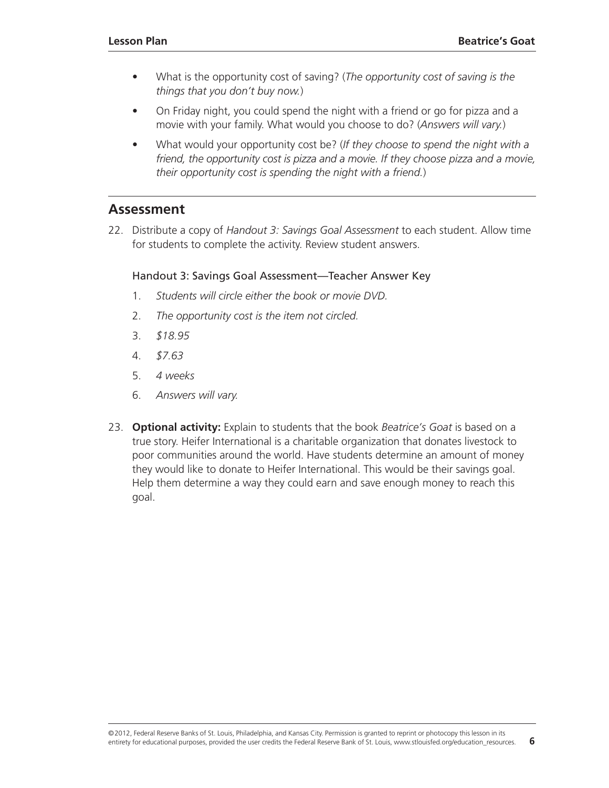- What is the opportunity cost of saving? (*The opportunity cost of saving is the things that you don't buy now.*)
- On Friday night, you could spend the night with a friend or go for pizza and a movie with your family. What would you choose to do? (*Answers will vary.*)
- What would your opportunity cost be? (*If they choose to spend the night with a friend, the opportunity cost is pizza and a movie. If they choose pizza and a movie, their opportunity cost is spending the night with a friend.*)

# **Assessment**

22. Distribute a copy of *Handout 3: Savings Goal Assessment* to each student. Allow time for students to complete the activity. Review student answers.

#### Handout 3: Savings Goal Assessment—Teacher Answer Key

- 1. *Students will circle either the book or movie DVD.*
- 2. *The opportunity cost is the item not circled.*
- 3. *\$18.95*
- 4. *\$7.63*
- 5. *4 weeks*
- 6. *Answers will vary.*
- 23. **Optional activity:** Explain to students that the book *Beatrice's Goat* is based on a true story. Heifer International is a charitable organization that donates livestock to poor communities around the world. Have students determine an amount of money they would like to donate to Heifer International. This would be their savings goal. Help them determine a way they could earn and save enough money to reach this goal.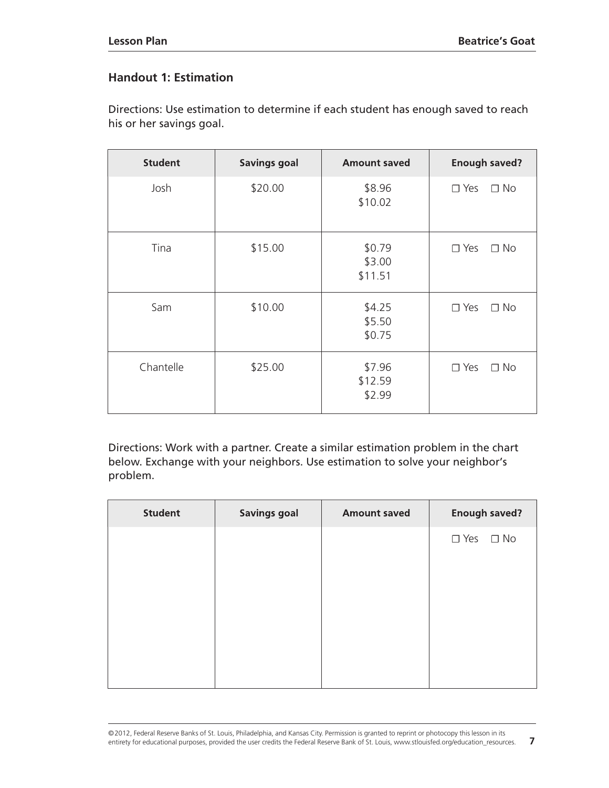# **Handout 1: Estimation**

Directions: Use estimation to determine if each student has enough saved to reach his or her savings goal.

| <b>Student</b> | <b>Savings goal</b> | <b>Amount saved</b>         | <b>Enough saved?</b>       |
|----------------|---------------------|-----------------------------|----------------------------|
| Josh           | \$20.00             | \$8.96<br>\$10.02           | $\Box$ No<br>$\square$ Yes |
| Tina           | \$15.00             | \$0.79<br>\$3.00<br>\$11.51 | $\square$ Yes<br>$\Box$ No |
| Sam            | \$10.00             | \$4.25<br>\$5.50<br>\$0.75  | $\square$ Yes<br>$\Box$ No |
| Chantelle      | \$25.00             | \$7.96<br>\$12.59<br>\$2.99 | $\square$ Yes<br>$\Box$ No |

Directions: Work with a partner. Create a similar estimation problem in the chart below. Exchange with your neighbors. Use estimation to solve your neighbor's problem.

| <b>Student</b> | <b>Savings goal</b> | <b>Amount saved</b> | <b>Enough saved?</b> |
|----------------|---------------------|---------------------|----------------------|
|                |                     |                     | $\Box$ Yes $\Box$ No |
|                |                     |                     |                      |
|                |                     |                     |                      |
|                |                     |                     |                      |
|                |                     |                     |                      |
|                |                     |                     |                      |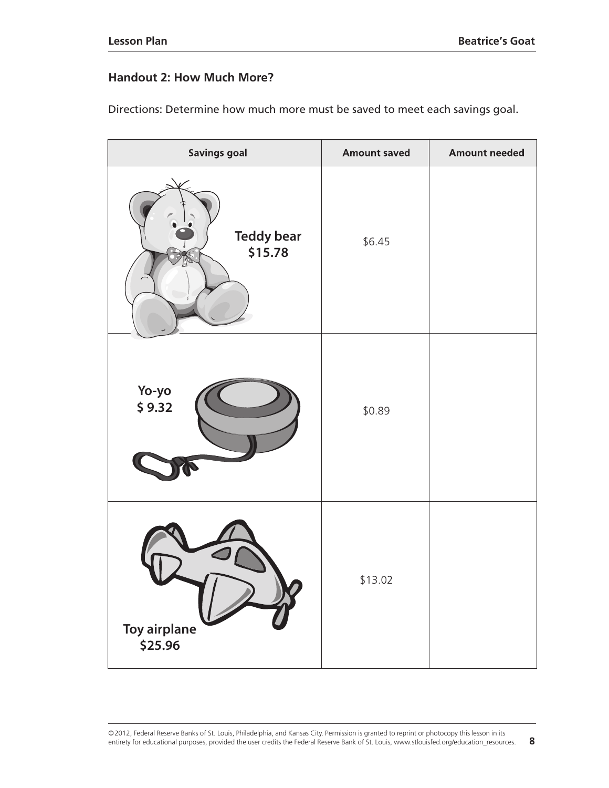## **Handout 2: How Much More?**

| <b>Savings goal</b>            | <b>Amount saved</b> | <b>Amount needed</b> |
|--------------------------------|---------------------|----------------------|
| <b>Teddy bear</b><br>\$15.78   | \$6.45              |                      |
| Yo-yo<br>\$9.32                | \$0.89              |                      |
| <b>Toy airplane</b><br>\$25.96 | \$13.02             |                      |

Directions: Determine how much more must be saved to meet each savings goal.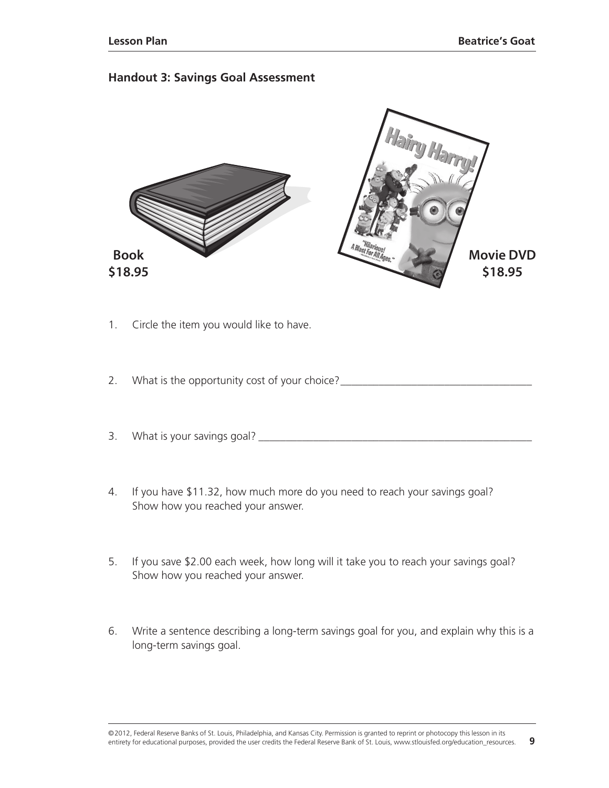#### **Handout 3: Savings Goal Assessment**



- 1. Circle the item you would like to have.
- 2. What is the opportunity cost of your choice? \_\_\_\_\_\_\_\_\_\_\_\_\_\_\_\_\_\_\_\_\_\_\_\_\_\_\_\_\_\_\_\_
- 3. What is your savings goal? \_\_\_\_\_\_\_\_\_\_\_\_\_\_\_\_\_\_\_\_\_\_\_\_\_\_\_\_\_\_\_\_\_\_\_\_\_\_\_\_\_\_\_\_\_\_\_\_\_\_
- 4. If you have \$11.32, how much more do you need to reach your savings goal? Show how you reached your answer.
- 5. If you save \$2.00 each week, how long will it take you to reach your savings goal? Show how you reached your answer.
- 6. Write a sentence describing a long-term savings goal for you, and explain why this is a long-term savings goal.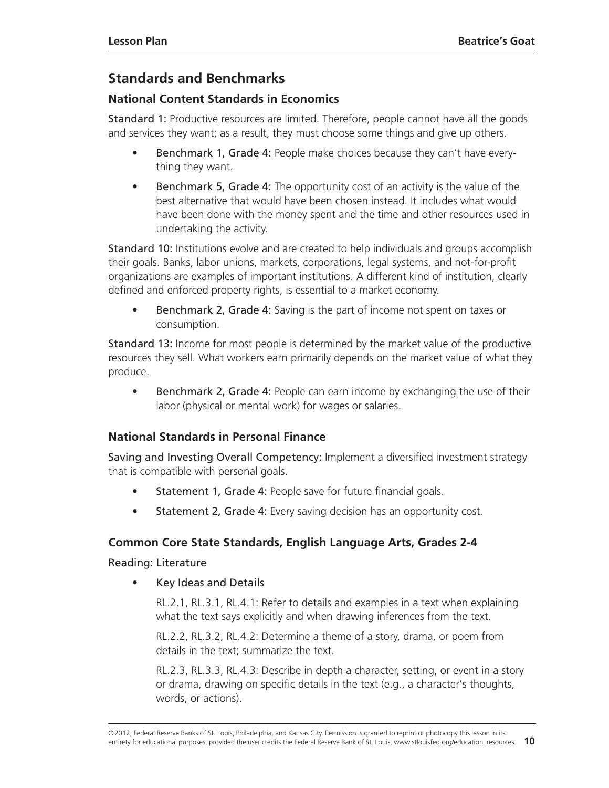# <span id="page-9-0"></span>**Standards and [Benchmarks](#page-0-0)**

# **National Content Standards in Economics**

Standard 1: Productive resources are limited. Therefore, people cannot have all the goods and services they want; as a result, they must choose some things and give up others.

- Benchmark 1, Grade 4: People make choices because they can't have everything they want.
- Benchmark 5, Grade 4: The opportunity cost of an activity is the value of the best alternative that would have been chosen instead. It includes what would have been done with the money spent and the time and other resources used in undertaking the activity.

Standard 10: Institutions evolve and are created to help individuals and groups accomplish their goals. Banks, labor unions, markets, corporations, legal systems, and not-for-profit organizations are examples of important institutions. A different kind of institution, clearly defined and enforced property rights, is essential to a market economy.

**Benchmark 2, Grade 4:** Saving is the part of income not spent on taxes or consumption.

Standard 13: Income for most people is determined by the market value of the productive resources they sell. What workers earn primarily depends on the market value of what they produce.

• Benchmark 2, Grade 4: People can earn income by exchanging the use of their labor (physical or mental work) for wages or salaries.

# **National Standards in Personal Finance**

Saving and Investing Overall Competency: Implement a diversified investment strategy that is compatible with personal goals.

- Statement 1, Grade 4: People save for future financial goals.
- Statement 2, Grade 4: Every saving decision has an opportunity cost.

# **Common Core State Standards, English Language Arts, Grades 2-4**

Reading: Literature

• Key Ideas and Details

RL.2.1, RL.3.1, RL.4.1: Refer to details and examples in a text when explaining what the text says explicitly and when drawing inferences from the text.

RL.2.2, RL.3.2, RL.4.2: Determine a theme of a story, drama, or poem from details in the text; summarize the text.

RL.2.3, RL.3.3, RL.4.3: Describe in depth a character, setting, or event in a story or drama, drawing on specific details in the text (e.g., a character's thoughts, words, or actions).